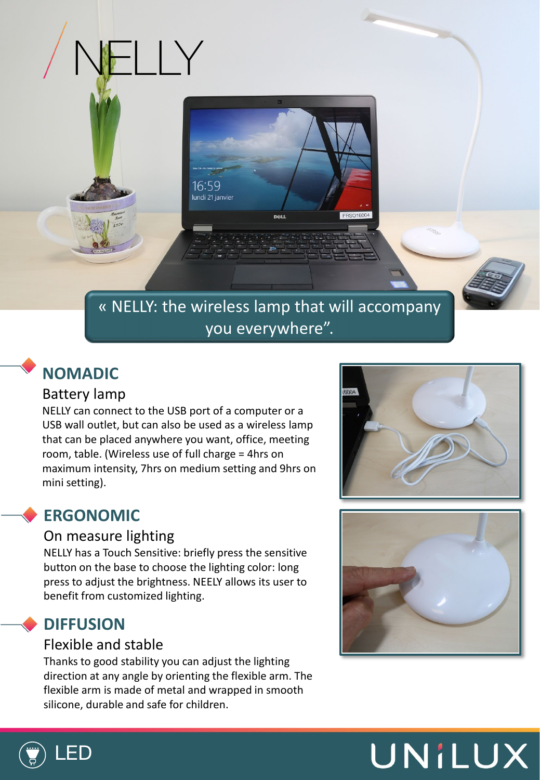

## « NELLY: the wireless lamp that will accompany you everywhere".

## **NOMADIC**

### Battery lamp

NELLY can connect to the USB port of a computer or a USB wall outlet, but can also be used as a wireless lamp that can be placed anywhere you want, office, meeting room, table. (Wireless use of full charge = 4hrs on maximum intensity, 7hrs on medium setting and 9hrs on mini setting).

 $\overline{\phantom{a}}$ 

## **ERGONOMIC**

#### On measure lighting

NELLY has a Touch Sensitive: briefly press the sensitive button on the base to choose the lighting color: long press to adjust the brightness. NEELY allows its user to benefit from customized lighting.

## **DIFFUSION**

#### Flexible and stable

Thanks to good stability you can adjust the lighting direction at any angle by orienting the flexible arm. The flexible arm is made of metal and wrapped in smooth silicone, durable and safe for children.